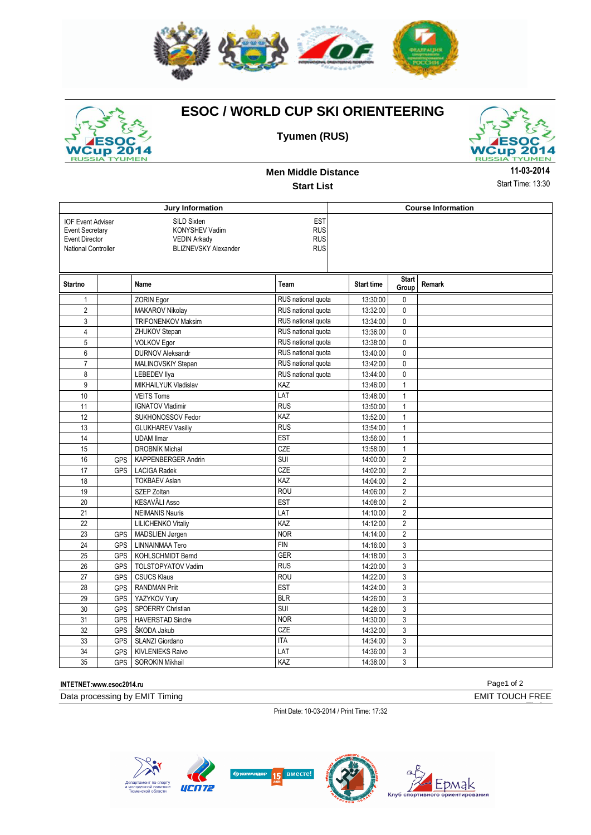

## **ESOC / WORLD CUP SKI ORIENTEERING**



## **Tyumen (RUS)**



**Men Middle Distance Start List**

**11-03-2014** Start Time: 13:30

|                                                                                                    |                  |                                                                                                                                                                 | <b>Course Information</b> |                   |                       |               |
|----------------------------------------------------------------------------------------------------|------------------|-----------------------------------------------------------------------------------------------------------------------------------------------------------------|---------------------------|-------------------|-----------------------|---------------|
| <b>IOF Event Adviser</b><br><b>Event Secretary</b><br><b>Event Director</b><br>National Controller |                  | Jury Information<br><b>EST</b><br>SILD Sixten<br><b>RUS</b><br>KONYSHEV Vadim<br><b>RUS</b><br><b>VEDIN Arkady</b><br><b>RUS</b><br><b>BLIZNEVSKY Alexander</b> |                           |                   |                       |               |
| <b>Startno</b>                                                                                     |                  | Name                                                                                                                                                            | Team                      | <b>Start time</b> | <b>Start</b><br>Group | <b>Remark</b> |
| $\mathbf{1}$                                                                                       |                  | <b>ZORIN Egor</b>                                                                                                                                               | RUS national quota        | 13:30:00          | 0                     |               |
| $\overline{2}$                                                                                     |                  | MAKAROV Nikolay                                                                                                                                                 | RUS national quota        | 13:32:00          | $\mathbf{0}$          |               |
| 3                                                                                                  |                  | <b>TRIFONENKOV Maksim</b>                                                                                                                                       | RUS national quota        | 13:34:00          | $\mathbf 0$           |               |
| 4                                                                                                  |                  | ZHUKOV Stepan                                                                                                                                                   | RUS national quota        | 13:36:00          | $\pmb{0}$             |               |
| 5                                                                                                  |                  | <b>VOLKOV Egor</b>                                                                                                                                              | RUS national quota        | 13:38:00          | $\pmb{0}$             |               |
| 6                                                                                                  |                  | <b>DURNOV Aleksandr</b>                                                                                                                                         | RUS national quota        | 13:40:00          | $\pmb{0}$             |               |
| $\overline{7}$                                                                                     |                  | MALINOVSKIY Stepan                                                                                                                                              | RUS national quota        | 13:42:00          | $\mathbf 0$           |               |
| 8                                                                                                  |                  | <b>LEBEDEV Ilya</b>                                                                                                                                             | RUS national quota        | 13:44:00          | $\pmb{0}$             |               |
| 9                                                                                                  |                  | MIKHAILYUK Vladislav                                                                                                                                            | KAZ                       | 13:46:00          | $\overline{1}$        |               |
| 10                                                                                                 |                  | <b>VEITS Toms</b>                                                                                                                                               | LAT                       | 13:48:00          | $\mathbf{1}$          |               |
| 11                                                                                                 |                  | <b>IGNATOV Vladimir</b>                                                                                                                                         | <b>RUS</b>                | 13:50:00          | $\mathbf{1}$          |               |
| 12                                                                                                 |                  | SUKHONOSSOV Fedor                                                                                                                                               | KAZ                       | 13:52:00          | $\mathbf{1}$          |               |
| 13                                                                                                 |                  | <b>GLUKHAREV Vasiliy</b>                                                                                                                                        | <b>RUS</b>                | 13:54:00          | $\mathbf{1}$          |               |
| 14                                                                                                 |                  | <b>UDAM Ilmar</b>                                                                                                                                               | <b>EST</b>                | 13:56:00          | $\mathbf{1}$          |               |
| 15                                                                                                 |                  | <b>DROBNÍK Michal</b>                                                                                                                                           | <b>CZE</b>                | 13:58:00          | $\mathbf{1}$          |               |
| 16                                                                                                 | GPS              | KAPPENBERGER Andrin                                                                                                                                             | SUI                       | 14:00:00          | $\overline{2}$        |               |
| 17                                                                                                 | <b>GPS</b>       | <b>LACIGA Radek</b>                                                                                                                                             | <b>CZE</b>                | 14:02:00          | $\sqrt{2}$            |               |
| 18                                                                                                 |                  | <b>TOKBAEV Aslan</b>                                                                                                                                            | KAZ                       | 14:04:00          | $\overline{2}$        |               |
| 19                                                                                                 |                  | SZEP Zoltan                                                                                                                                                     | <b>ROU</b>                | 14:06:00          | $\overline{2}$        |               |
| 20                                                                                                 |                  | <b>KESAVÄLI Asso</b>                                                                                                                                            | <b>EST</b>                | 14:08:00          | $\overline{2}$        |               |
| 21                                                                                                 |                  | <b>NEIMANIS Nauris</b>                                                                                                                                          | LAT                       | 14:10:00          | $\overline{2}$        |               |
| 22                                                                                                 |                  | <b>LILICHENKO Vitaliy</b>                                                                                                                                       | KAZ                       | 14:12:00          | $\overline{2}$        |               |
| 23                                                                                                 | GPS              | MADSLIEN Jørgen                                                                                                                                                 | <b>NOR</b>                | 14:14:00          | $\overline{2}$        |               |
| 24                                                                                                 | GPS              | LINNAINMAA Tero                                                                                                                                                 | <b>FIN</b>                | 14:16:00          | $\mathfrak{z}$        |               |
| 25                                                                                                 | <b>GPS</b>       | KOHLSCHMIDT Bernd                                                                                                                                               | <b>GER</b>                | 14:18:00          | 3                     |               |
| 26                                                                                                 | GPS <sup>I</sup> | TOLSTOPYATOV Vadim                                                                                                                                              | <b>RUS</b>                | 14:20:00          | 3                     |               |
| 27                                                                                                 | GPS              | <b>CSUCS Klaus</b>                                                                                                                                              | <b>ROU</b>                | 14:22:00          | 3                     |               |
| 28                                                                                                 | <b>GPS</b>       | <b>RANDMAN Priit</b>                                                                                                                                            | <b>EST</b>                | 14:24:00          | 3                     |               |
| 29                                                                                                 | <b>GPS</b>       | YAZYKOV Yury                                                                                                                                                    | <b>BLR</b>                | 14:26:00          | 3                     |               |
| 30                                                                                                 | <b>GPS</b>       | <b>SPOERRY Christian</b>                                                                                                                                        | SUI                       | 14:28:00          | 3                     |               |
| 31                                                                                                 | <b>GPS</b>       | <b>HAVERSTAD Sindre</b>                                                                                                                                         | <b>NOR</b>                | 14:30:00          | 3                     |               |
| 32                                                                                                 | GPS              | ŠKODA Jakub                                                                                                                                                     | CZE                       | 14:32:00          | 3                     |               |
| 33                                                                                                 | GPS              | SLANZI Giordano                                                                                                                                                 | <b>ITA</b>                | 14:34:00          | 3                     |               |
| 34                                                                                                 | GPS <sup>I</sup> | <b>KIVLENIEKS Raivo</b>                                                                                                                                         | LAT                       | 14:36:00          | 3                     |               |
| 35                                                                                                 | GPS              | <b>SOROKIN Mikhail</b>                                                                                                                                          | KAZ                       | 14:38:00          | 3                     |               |

### **INTETNET:www.esoc2014.ru** Page1 of 2

Timing

Data processing by EMIT Timing **EMIT TOUCH FREE** 

Print Date: 10-03-2014 / Print Time: 17:32